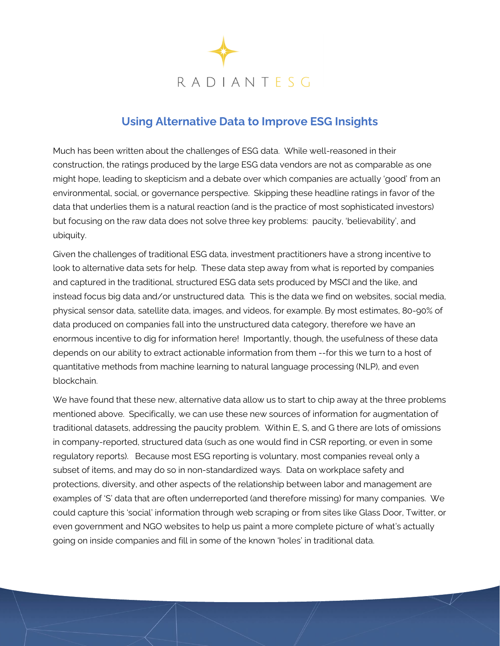

## **Using Alternative Data to Improve ESG Insights**

Much has been written about the challenges of ESG data. While well-reasoned in their construction, the ratings produced by the large ESG data vendors are not as comparable as one might hope, leading to skepticism and a debate over which companies are actually 'good' from an environmental, social, or governance perspective. Skipping these headline ratings in favor of the data that underlies them is a natural reaction (and is the practice of most sophisticated investors) but focusing on the raw data does not solve three key problems: paucity, 'believability', and ubiquity.

Given the challenges of traditional ESG data, investment practitioners have a strong incentive to look to alternative data sets for help. These data step away from what is reported by companies and captured in the traditional, structured ESG data sets produced by MSCI and the like, and instead focus big data and/or unstructured data. This is the data we find on websites, social media, physical sensor data, satellite data, images, and videos, for example. By most estimates, 80-90% of data produced on companies fall into the unstructured data category, therefore we have an enormous incentive to dig for information here! Importantly, though, the usefulness of these data depends on our ability to extract actionable information from them --for this we turn to a host of quantitative methods from machine learning to natural language processing (NLP), and even blockchain.

We have found that these new, alternative data allow us to start to chip away at the three problems mentioned above. Specifically, we can use these new sources of information for augmentation of traditional datasets, addressing the paucity problem. Within E, S, and G there are lots of omissions in company-reported, structured data (such as one would find in CSR reporting, or even in some regulatory reports). Because most ESG reporting is voluntary, most companies reveal only a subset of items, and may do so in non-standardized ways. Data on workplace safety and protections, diversity, and other aspects of the relationship between labor and management are examples of 'S' data that are often underreported (and therefore missing) for many companies. We could capture this 'social' information through web scraping or from sites like Glass Door, Twitter, or even government and NGO websites to help us paint a more complete picture of what's actually going on inside companies and fill in some of the known 'holes' in traditional data.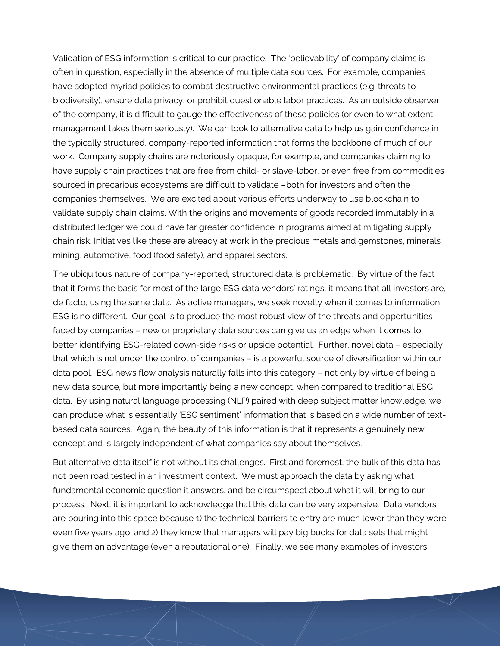Validation of ESG information is critical to our practice. The 'believability' of company claims is often in question, especially in the absence of multiple data sources. For example, companies have adopted myriad policies to combat destructive environmental practices (e.g. threats to biodiversity), ensure data privacy, or prohibit questionable labor practices. As an outside observer of the company, it is difficult to gauge the effectiveness of these policies (or even to what extent management takes them seriously). We can look to alternative data to help us gain confidence in the typically structured, company-reported information that forms the backbone of much of our work. Company supply chains are notoriously opaque, for example, and companies claiming to have supply chain practices that are free from child- or slave-labor, or even free from commodities sourced in precarious ecosystems are difficult to validate –both for investors and often the companies themselves. We are excited about various efforts underway to use blockchain to validate supply chain claims. With the origins and movements of goods recorded immutably in a distributed ledger we could have far greater confidence in programs aimed at mitigating supply chain risk. Initiatives like these are already at work in the precious metals and gemstones, minerals mining, automotive, food (food safety), and apparel sectors.

The ubiquitous nature of company-reported, structured data is problematic. By virtue of the fact that it forms the basis for most of the large ESG data vendors' ratings, it means that all investors are, de facto, using the same data. As active managers, we seek novelty when it comes to information. ESG is no different. Our goal is to produce the most robust view of the threats and opportunities faced by companies – new or proprietary data sources can give us an edge when it comes to better identifying ESG-related down-side risks or upside potential. Further, novel data – especially that which is not under the control of companies – is a powerful source of diversification within our data pool. ESG news flow analysis naturally falls into this category – not only by virtue of being a new data source, but more importantly being a new concept, when compared to traditional ESG data. By using natural language processing (NLP) paired with deep subject matter knowledge, we can produce what is essentially 'ESG sentiment' information that is based on a wide number of textbased data sources. Again, the beauty of this information is that it represents a genuinely new concept and is largely independent of what companies say about themselves.

But alternative data itself is not without its challenges. First and foremost, the bulk of this data has not been road tested in an investment context. We must approach the data by asking what fundamental economic question it answers, and be circumspect about what it will bring to our process. Next, it is important to acknowledge that this data can be very expensive. Data vendors are pouring into this space because 1) the technical barriers to entry are much lower than they were even five years ago, and 2) they know that managers will pay big bucks for data sets that might give them an advantage (even a reputational one). Finally, we see many examples of investors